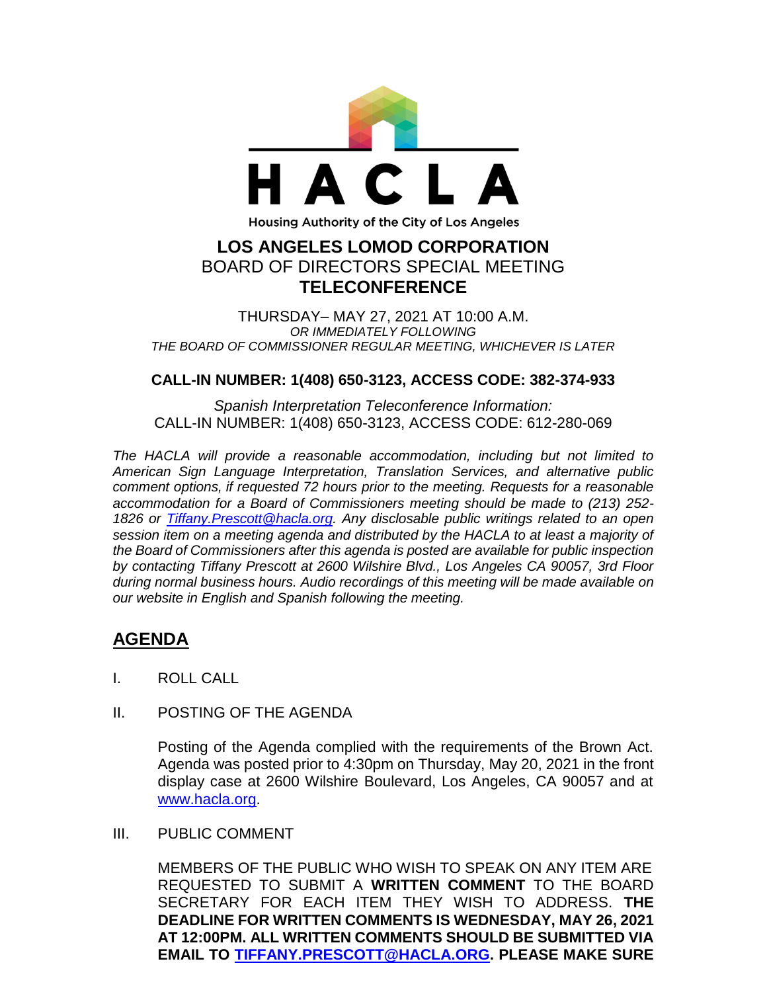

THURSDAY– MAY 27, 2021 AT 10:00 A.M. *OR IMMEDIATELY FOLLOWING THE BOARD OF COMMISSIONER REGULAR MEETING, WHICHEVER IS LATER*

## **CALL-IN NUMBER: 1(408) 650-3123, ACCESS CODE: 382-374-933**

*Spanish Interpretation Teleconference Information:* CALL-IN NUMBER: 1(408) 650-3123, ACCESS CODE: 612-280-069

*The HACLA will provide a reasonable accommodation, including but not limited to American Sign Language Interpretation, Translation Services, and alternative public comment options, if requested 72 hours prior to the meeting. Requests for a reasonable accommodation for a Board of Commissioners meeting should be made to (213) 252- 1826 or Tiffany.Prescott@hacla.org. Any disclosable public writings related to an open session item on a meeting agenda and distributed by the HACLA to at least a majority of the Board of Commissioners after this agenda is posted are available for public inspection by contacting Tiffany Prescott at 2600 Wilshire Blvd., Los Angeles CA 90057, 3rd Floor during normal business hours. Audio recordings of this meeting will be made available on our website in English and Spanish following the meeting.*

## **AGENDA**

- I. ROLL CALL
- II. POSTING OF THE AGENDA

Posting of the Agenda complied with the requirements of the Brown Act. Agenda was posted prior to 4:30pm on Thursday, May 20, 2021 in the front display case at 2600 Wilshire Boulevard, Los Angeles, CA 90057 and at [www.hacla.org.](http://www.hacla.org/)

III. PUBLIC COMMENT

MEMBERS OF THE PUBLIC WHO WISH TO SPEAK ON ANY ITEM ARE REQUESTED TO SUBMIT A **WRITTEN COMMENT** TO THE BOARD SECRETARY FOR EACH ITEM THEY WISH TO ADDRESS. **THE DEADLINE FOR WRITTEN COMMENTS IS WEDNESDAY, MAY 26, 2021 AT 12:00PM. ALL WRITTEN COMMENTS SHOULD BE SUBMITTED VIA EMAIL TO [TIFFANY.PRESCOTT@HACLA.ORG.](mailto:TIFFANY.PRESCOTT@HACLA.ORG) PLEASE MAKE SURE**